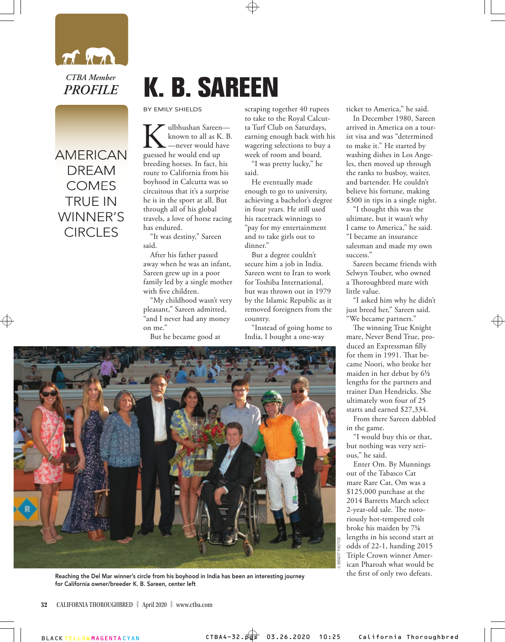

## AMERICAN AMERICAN DREAM DREAM **COMES** TRUE IN WINNER'S **CIRCLES**

## **K. B. SAREEN**

BY EMILY SHIELDS

**K**ulbhushan Sareen—<br>
known to all as K. B<br>
guessed he would end up known to all as K. B. —never would have breeding horses. In fact, his route to California from his boyhood in Calcutta was so circuitous that it's a surprise he is in the sport at all. But through all of his global travels, a love of horse racing has endured.

"It was destiny," Sareen said.

After his father passed away when he was an infant, Sareen grew up in a poor family led by a single mother with five children.

"My childhood wasn't very pleasant," Sareen admitted, "and I never had any money on me."

But he became good at

scraping together 40 rupees to take to the Royal Calcutta Turf Club on Saturdays, earning enough back with his wagering selections to buy a week of room and board.

"I was pretty lucky," he said.

He eventually made enough to go to university, achieving a bachelor's degree in four years. He still used his racetrack winnings to "pay for my entertainment and to take girls out to dinner."

But a degree couldn't secure him a job in India. Sareen went to Iran to work for Toshiba International, but was thrown out in 1979 by the Islamic Republic as it removed foreigners from the country.

"Instead of going home to India, I bought a one-way



In December 1980, Sareen arrived in America on a tourist visa and was "determined to make it." He started by washing dishes in Los Angeles, then moved up through the ranks to busboy, waiter, and bartender. He couldn't believe his fortune, making \$300 in tips in a single night.

"I thought this was the ultimate, but it wasn't why I came to America," he said. "I became an insurance salesman and made my own success."

Sareen became friends with Selwyn Touber, who owned a Thoroughbred mare with little value.

"I asked him why he didn't just breed her," Sareen said. "We became partners."

The winning True Knight mare, Never Bend True, produced an Expressman filly for them in 1991. That became Noori, who broke her maiden in her debut by 6<sup>1/2</sup> lengths for the partners and trainer Dan Hendricks. She ultimately won four of 25 starts and earned \$27,334.

From there Sareen dabbled in the game.

"I would buy this or that, but nothing was very serious," he said.

Enter Om. By Munnings out of the Tabasco Cat mare Rare Cat, Om was a \$125,000 purchase at the 2014 Barretts March select 2-year-old sale. The notoriously hot-tempered colt broke his maiden by 71 ⁄4 lengths in his second start at odds of 22-1, handing 2015 Triple Crown winner American Pharoah what would be the first of only two defeats.

**©** BENOIT PHOTOS

BENOIT PHOTOS



Reaching the Del Mar winner's circle from his boyhood in India has been an interesting journey for California owner/breeder K. B. Sareen, center left